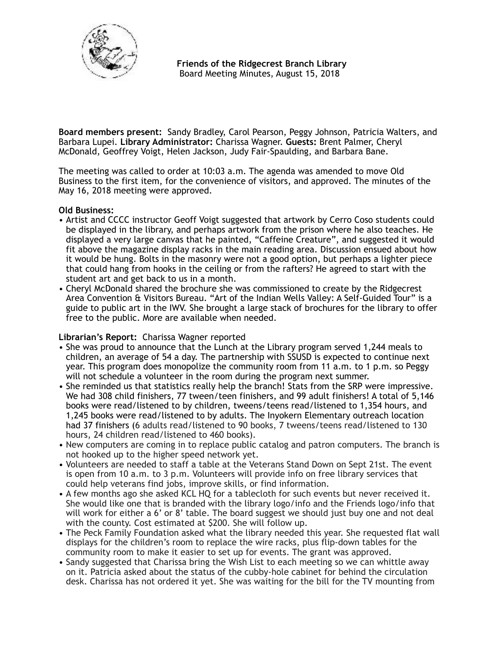

 **Friends of the Ridgecrest Branch Library**  Board Meeting Minutes, August 15, 2018

**Board members present:** Sandy Bradley, Carol Pearson, Peggy Johnson, Patricia Walters, and Barbara Lupei. **Library Administrator:** Charissa Wagner. **Guests:** Brent Palmer, Cheryl McDonald, Geoffrey Voigt, Helen Jackson, Judy Fair-Spaulding, and Barbara Bane.

The meeting was called to order at 10:03 a.m. The agenda was amended to move Old Business to the first item, for the convenience of visitors, and approved. The minutes of the May 16, 2018 meeting were approved.

### **Old Business:**

- Artist and CCCC instructor Geoff Voigt suggested that artwork by Cerro Coso students could be displayed in the library, and perhaps artwork from the prison where he also teaches. He displayed a very large canvas that he painted, "Caffeine Creature", and suggested it would fit above the magazine display racks in the main reading area. Discussion ensued about how it would be hung. Bolts in the masonry were not a good option, but perhaps a lighter piece that could hang from hooks in the ceiling or from the rafters? He agreed to start with the student art and get back to us in a month.
- Cheryl McDonald shared the brochure she was commissioned to create by the Ridgecrest Area Convention & Visitors Bureau. "Art of the Indian Wells Valley: A Self-Guided Tour" is a guide to public art in the IWV. She brought a large stack of brochures for the library to offer free to the public. More are available when needed.

# **Librarian's Report:** Charissa Wagner reported

- She was proud to announce that the Lunch at the Library program served 1,244 meals to children, an average of 54 a day. The partnership with SSUSD is expected to continue next year. This program does monopolize the community room from 11 a.m. to 1 p.m. so Peggy will not schedule a volunteer in the room during the program next summer.
- She reminded us that statistics really help the branch! Stats from the SRP were impressive. We had 308 child finishers, 77 tween/teen finishers, and 99 adult finishers! A total of 5,146 books were read/listened to by children, tweens/teens read/listened to 1,354 hours, and 1,245 books were read/listened to by adults. The Inyokern Elementary outreach location had 37 finishers (6 adults read/listened to 90 books, 7 tweens/teens read/listened to 130 hours, 24 children read/listened to 460 books).
- New computers are coming in to replace public catalog and patron computers. The branch is not hooked up to the higher speed network yet.
- Volunteers are needed to staff a table at the Veterans Stand Down on Sept 21st. The event is open from 10 a.m. to 3 p.m. Volunteers will provide info on free library services that could help veterans find jobs, improve skills, or find information.
- A few months ago she asked KCL HQ for a tablecloth for such events but never received it. She would like one that is branded with the library logo/info and the Friends logo/info that will work for either a 6' or 8' table. The board suggest we should just buy one and not deal with the county. Cost estimated at \$200. She will follow up.
- The Peck Family Foundation asked what the library needed this year. She requested flat wall displays for the children's room to replace the wire racks, plus flip-down tables for the community room to make it easier to set up for events. The grant was approved.
- Sandy suggested that Charissa bring the Wish List to each meeting so we can whittle away on it. Patricia asked about the status of the cubby-hole cabinet for behind the circulation desk. Charissa has not ordered it yet. She was waiting for the bill for the TV mounting from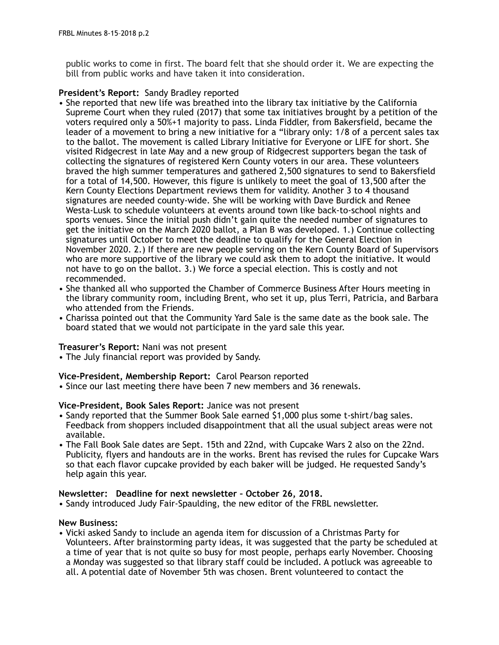public works to come in first. The board felt that she should order it. We are expecting the bill from public works and have taken it into consideration.

# **President's Report:** Sandy Bradley reported

- She reported that new life was breathed into the library tax initiative by the California Supreme Court when they ruled (2017) that some tax initiatives brought by a petition of the voters required only a 50%+1 majority to pass. Linda Fiddler, from Bakersfield, became the leader of a movement to bring a new initiative for a "library only: 1/8 of a percent sales tax to the ballot. The movement is called Library Initiative for Everyone or LIFE for short. She visited Ridgecrest in late May and a new group of Ridgecrest supporters began the task of collecting the signatures of registered Kern County voters in our area. These volunteers braved the high summer temperatures and gathered 2,500 signatures to send to Bakersfield for a total of 14,500. However, this figure is unlikely to meet the goal of 13,500 after the Kern County Elections Department reviews them for validity. Another 3 to 4 thousand signatures are needed county-wide. She will be working with Dave Burdick and Renee Westa-Lusk to schedule volunteers at events around town like back-to-school nights and sports venues. Since the initial push didn't gain quite the needed number of signatures to get the initiative on the March 2020 ballot, a Plan B was developed. 1.) Continue collecting signatures until October to meet the deadline to qualify for the General Election in November 2020. 2.) If there are new people serving on the Kern County Board of Supervisors who are more supportive of the library we could ask them to adopt the initiative. It would not have to go on the ballot. 3.) We force a special election. This is costly and not recommended.
- She thanked all who supported the Chamber of Commerce Business After Hours meeting in the library community room, including Brent, who set it up, plus Terri, Patricia, and Barbara who attended from the Friends.
- Charissa pointed out that the Community Yard Sale is the same date as the book sale. The board stated that we would not participate in the yard sale this year.

# **Treasurer's Report:** Nani was not present

• The July financial report was provided by Sandy.

# **Vice-President, Membership Report:** Carol Pearson reported

• Since our last meeting there have been 7 new members and 36 renewals.

# **Vice-President, Book Sales Report:** Janice was not present

- Sandy reported that the Summer Book Sale earned \$1,000 plus some t-shirt/bag sales. Feedback from shoppers included disappointment that all the usual subject areas were not available.
- The Fall Book Sale dates are Sept. 15th and 22nd, with Cupcake Wars 2 also on the 22nd. Publicity, flyers and handouts are in the works. Brent has revised the rules for Cupcake Wars so that each flavor cupcake provided by each baker will be judged. He requested Sandy's help again this year.

### **Newsletter: Deadline for next newsletter – October 26, 2018.**

• Sandy introduced Judy Fair-Spaulding, the new editor of the FRBL newsletter.

# **New Business:**

• Vicki asked Sandy to include an agenda item for discussion of a Christmas Party for Volunteers. After brainstorming party ideas, it was suggested that the party be scheduled at a time of year that is not quite so busy for most people, perhaps early November. Choosing a Monday was suggested so that library staff could be included. A potluck was agreeable to all. A potential date of November 5th was chosen. Brent volunteered to contact the